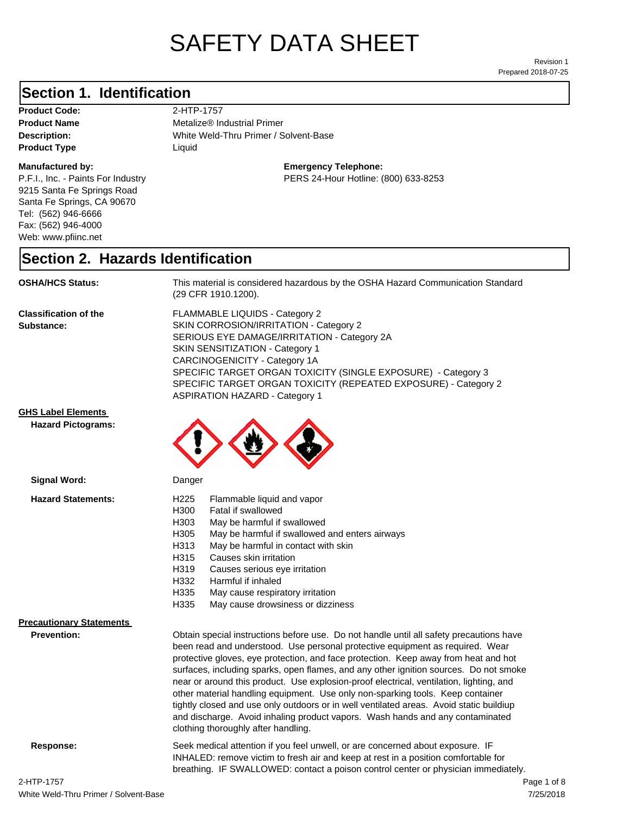# SAFETY DATA SHEET

Prepared 2018-07-25 Revision 1

### **Section 1. Identification**

**Product Code:** 2-HTP-1757 **Product Type Liquid Liquid** 

#### **Manufactured by:**

P.F.I., Inc. - Paints For Industry 9215 Santa Fe Springs Road Santa Fe Springs, CA 90670 Tel: (562) 946-6666 Fax: (562) 946-4000 Web: www.pfiinc.net

**Description:** White Weld-Thru Primer / Solvent-Base **Product Name** Metalize® Industrial Primer

**Emergency Telephone:**

PERS 24-Hour Hotline: (800) 633-8253

#### **Section 2. Hazards Identification**

**OSHA/HCS Status:** This material is considered hazardous by the OSHA Hazard Communication Standard (29 CFR 1910.1200).

**Classification of the Substance:**

FLAMMABLE LIQUIDS - Category 2 SKIN CORROSION/IRRITATION - Category 2 SERIOUS EYE DAMAGE/IRRITATION - Category 2A SKIN SENSITIZATION - Category 1 CARCINOGENICITY - Category 1A SPECIFIC TARGET ORGAN TOXICITY (SINGLE EXPOSURE) - Category 3 SPECIFIC TARGET ORGAN TOXICITY (REPEATED EXPOSURE) - Category 2 ASPIRATION HAZARD - Category 1

#### **GHS Label Elements**

**Signal Word:**

**Hazard Pictograms:**



| H <sub>225</sub><br>Flammable liquid and vapor<br>H300<br>Fatal if swallowed<br>H303<br>May be harmful if swallowed<br>H305<br>May be harmful if swallowed and enters airways<br>H313<br>May be harmful in contact with skin<br>H315<br>Causes skin irritation<br>H319<br>Causes serious eye irritation<br>Harmful if inhaled<br>H332<br>H335<br>May cause respiratory irritation<br>H335<br>May cause drowsiness or dizziness                                                                                                                                                                                                                                                                                                                           |  |
|----------------------------------------------------------------------------------------------------------------------------------------------------------------------------------------------------------------------------------------------------------------------------------------------------------------------------------------------------------------------------------------------------------------------------------------------------------------------------------------------------------------------------------------------------------------------------------------------------------------------------------------------------------------------------------------------------------------------------------------------------------|--|
| Obtain special instructions before use. Do not handle until all safety precautions have<br>been read and understood. Use personal protective equipment as required. Wear<br>protective gloves, eye protection, and face protection. Keep away from heat and hot<br>surfaces, including sparks, open flames, and any other ignition sources. Do not smoke<br>near or around this product. Use explosion-proof electrical, ventilation, lighting, and<br>other material handling equipment. Use only non-sparking tools. Keep container<br>tightly closed and use only outdoors or in well ventilated areas. Avoid static buildiup<br>and discharge. Avoid inhaling product vapors. Wash hands and any contaminated<br>clothing thoroughly after handling. |  |
|                                                                                                                                                                                                                                                                                                                                                                                                                                                                                                                                                                                                                                                                                                                                                          |  |

**Response:** Seek medical attention if you feel unwell, or are concerned about exposure. IF

7/25/2018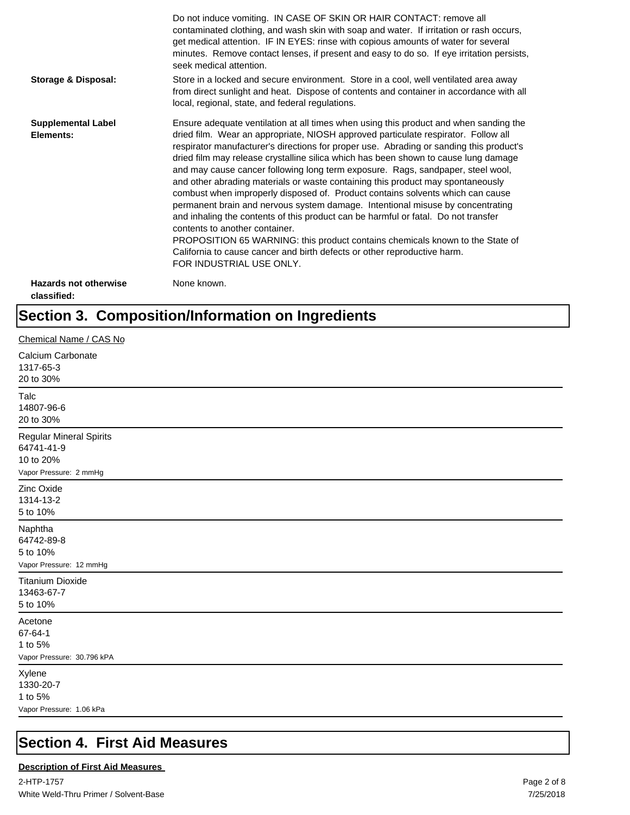|                                             | Do not induce vomiting. IN CASE OF SKIN OR HAIR CONTACT: remove all<br>contaminated clothing, and wash skin with soap and water. If irritation or rash occurs,<br>get medical attention. IF IN EYES: rinse with copious amounts of water for several<br>minutes. Remove contact lenses, if present and easy to do so. If eye irritation persists,<br>seek medical attention.                                                                                                                                                                                                                                                                                                                                                                                                                                                                                                                                                                                                                                             |
|---------------------------------------------|--------------------------------------------------------------------------------------------------------------------------------------------------------------------------------------------------------------------------------------------------------------------------------------------------------------------------------------------------------------------------------------------------------------------------------------------------------------------------------------------------------------------------------------------------------------------------------------------------------------------------------------------------------------------------------------------------------------------------------------------------------------------------------------------------------------------------------------------------------------------------------------------------------------------------------------------------------------------------------------------------------------------------|
| <b>Storage &amp; Disposal:</b>              | Store in a locked and secure environment. Store in a cool, well ventilated area away<br>from direct sunlight and heat. Dispose of contents and container in accordance with all<br>local, regional, state, and federal regulations.                                                                                                                                                                                                                                                                                                                                                                                                                                                                                                                                                                                                                                                                                                                                                                                      |
| <b>Supplemental Label</b><br>Elements:      | Ensure adequate ventilation at all times when using this product and when sanding the<br>dried film. Wear an appropriate, NIOSH approved particulate respirator. Follow all<br>respirator manufacturer's directions for proper use. Abrading or sanding this product's<br>dried film may release crystalline silica which has been shown to cause lung damage<br>and may cause cancer following long term exposure. Rags, sandpaper, steel wool,<br>and other abrading materials or waste containing this product may spontaneously<br>combust when improperly disposed of. Product contains solvents which can cause<br>permanent brain and nervous system damage. Intentional misuse by concentrating<br>and inhaling the contents of this product can be harmful or fatal. Do not transfer<br>contents to another container.<br>PROPOSITION 65 WARNING: this product contains chemicals known to the State of<br>California to cause cancer and birth defects or other reproductive harm.<br>FOR INDUSTRIAL USE ONLY. |
| <b>Hazards not otherwise</b><br>classified: | None known.                                                                                                                                                                                                                                                                                                                                                                                                                                                                                                                                                                                                                                                                                                                                                                                                                                                                                                                                                                                                              |

## **Section 3. Composition/Information on Ingredients**

| Chemical Name / CAS No                                                              |
|-------------------------------------------------------------------------------------|
| Calcium Carbonate<br>1317-65-3<br>20 to 30%                                         |
| Talc<br>14807-96-6<br>20 to 30%                                                     |
| <b>Regular Mineral Spirits</b><br>64741-41-9<br>10 to 20%<br>Vapor Pressure: 2 mmHg |
| Zinc Oxide<br>1314-13-2<br>5 to 10%                                                 |
| Naphtha<br>64742-89-8<br>5 to 10%<br>Vapor Pressure: 12 mmHg                        |
| <b>Titanium Dioxide</b><br>13463-67-7<br>5 to 10%                                   |
| Acetone<br>67-64-1<br>1 to 5%<br>Vapor Pressure: 30.796 kPA                         |
| Xylene<br>1330-20-7<br>1 to 5%<br>Vapor Pressure: 1.06 kPa                          |

## **Section 4. First Aid Measures**

#### **Description of First Aid Measures**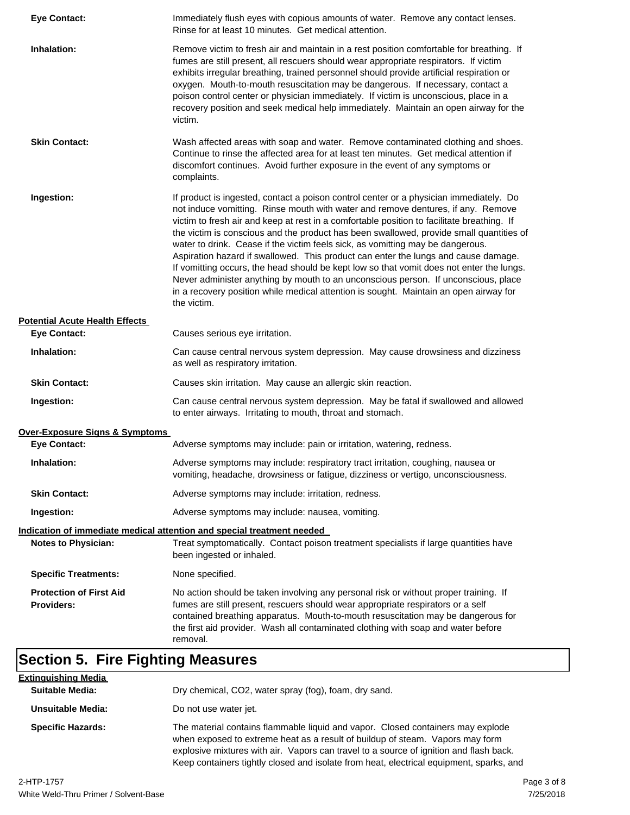| <b>Eye Contact:</b>                                 | Immediately flush eyes with copious amounts of water. Remove any contact lenses.<br>Rinse for at least 10 minutes. Get medical attention.                                                                                                                                                                                                                                                                                                                                                                                                                                                                                                                                                                                                                                                                                             |
|-----------------------------------------------------|---------------------------------------------------------------------------------------------------------------------------------------------------------------------------------------------------------------------------------------------------------------------------------------------------------------------------------------------------------------------------------------------------------------------------------------------------------------------------------------------------------------------------------------------------------------------------------------------------------------------------------------------------------------------------------------------------------------------------------------------------------------------------------------------------------------------------------------|
| Inhalation:                                         | Remove victim to fresh air and maintain in a rest position comfortable for breathing. If<br>fumes are still present, all rescuers should wear appropriate respirators. If victim<br>exhibits irregular breathing, trained personnel should provide artificial respiration or<br>oxygen. Mouth-to-mouth resuscitation may be dangerous. If necessary, contact a<br>poison control center or physician immediately. If victim is unconscious, place in a<br>recovery position and seek medical help immediately. Maintain an open airway for the<br>victim.                                                                                                                                                                                                                                                                             |
| <b>Skin Contact:</b>                                | Wash affected areas with soap and water. Remove contaminated clothing and shoes.<br>Continue to rinse the affected area for at least ten minutes. Get medical attention if<br>discomfort continues. Avoid further exposure in the event of any symptoms or<br>complaints.                                                                                                                                                                                                                                                                                                                                                                                                                                                                                                                                                             |
| Ingestion:                                          | If product is ingested, contact a poison control center or a physician immediately. Do<br>not induce vomitting. Rinse mouth with water and remove dentures, if any. Remove<br>victim to fresh air and keep at rest in a comfortable position to facilitate breathing. If<br>the victim is conscious and the product has been swallowed, provide small quantities of<br>water to drink. Cease if the victim feels sick, as vomitting may be dangerous.<br>Aspiration hazard if swallowed. This product can enter the lungs and cause damage.<br>If vomitting occurs, the head should be kept low so that vomit does not enter the lungs.<br>Never administer anything by mouth to an unconscious person. If unconscious, place<br>in a recovery position while medical attention is sought. Maintain an open airway for<br>the victim. |
| <b>Potential Acute Health Effects</b>               |                                                                                                                                                                                                                                                                                                                                                                                                                                                                                                                                                                                                                                                                                                                                                                                                                                       |
| <b>Eye Contact:</b>                                 | Causes serious eye irritation.                                                                                                                                                                                                                                                                                                                                                                                                                                                                                                                                                                                                                                                                                                                                                                                                        |
| Inhalation:                                         | Can cause central nervous system depression. May cause drowsiness and dizziness<br>as well as respiratory irritation.                                                                                                                                                                                                                                                                                                                                                                                                                                                                                                                                                                                                                                                                                                                 |
| <b>Skin Contact:</b>                                | Causes skin irritation. May cause an allergic skin reaction.                                                                                                                                                                                                                                                                                                                                                                                                                                                                                                                                                                                                                                                                                                                                                                          |
| Ingestion:                                          | Can cause central nervous system depression. May be fatal if swallowed and allowed<br>to enter airways. Irritating to mouth, throat and stomach.                                                                                                                                                                                                                                                                                                                                                                                                                                                                                                                                                                                                                                                                                      |
| Over-Exposure Signs & Symptoms                      |                                                                                                                                                                                                                                                                                                                                                                                                                                                                                                                                                                                                                                                                                                                                                                                                                                       |
| <b>Eye Contact:</b>                                 | Adverse symptoms may include: pain or irritation, watering, redness.                                                                                                                                                                                                                                                                                                                                                                                                                                                                                                                                                                                                                                                                                                                                                                  |
| Inhalation:                                         | Adverse symptoms may include: respiratory tract irritation, coughing, nausea or<br>vomiting, headache, drowsiness or fatigue, dizziness or vertigo, unconsciousness.                                                                                                                                                                                                                                                                                                                                                                                                                                                                                                                                                                                                                                                                  |
| <b>Skin Contact:</b>                                | Adverse symptoms may include: irritation, redness.                                                                                                                                                                                                                                                                                                                                                                                                                                                                                                                                                                                                                                                                                                                                                                                    |
| Ingestion:                                          | Adverse symptoms may include: nausea, vomiting.                                                                                                                                                                                                                                                                                                                                                                                                                                                                                                                                                                                                                                                                                                                                                                                       |
|                                                     | <u>Indication of immediate medical attention and special treatment needed</u>                                                                                                                                                                                                                                                                                                                                                                                                                                                                                                                                                                                                                                                                                                                                                         |
| <b>Notes to Physician:</b>                          | Treat symptomatically. Contact poison treatment specialists if large quantities have<br>been ingested or inhaled.                                                                                                                                                                                                                                                                                                                                                                                                                                                                                                                                                                                                                                                                                                                     |
| <b>Specific Treatments:</b>                         | None specified.                                                                                                                                                                                                                                                                                                                                                                                                                                                                                                                                                                                                                                                                                                                                                                                                                       |
| <b>Protection of First Aid</b><br><b>Providers:</b> | No action should be taken involving any personal risk or without proper training. If<br>fumes are still present, rescuers should wear appropriate respirators or a self<br>contained breathing apparatus. Mouth-to-mouth resuscitation may be dangerous for<br>the first aid provider. Wash all contaminated clothing with soap and water before<br>removal.                                                                                                                                                                                                                                                                                                                                                                                                                                                                          |

| <u>Extinguishing Media</u> |                                                                                                                                                                                                                                                                                                                                                       |
|----------------------------|-------------------------------------------------------------------------------------------------------------------------------------------------------------------------------------------------------------------------------------------------------------------------------------------------------------------------------------------------------|
| <b>Suitable Media:</b>     | Dry chemical, CO2, water spray (fog), foam, dry sand.                                                                                                                                                                                                                                                                                                 |
| Unsuitable Media:          | Do not use water jet.                                                                                                                                                                                                                                                                                                                                 |
| <b>Specific Hazards:</b>   | The material contains flammable liquid and vapor. Closed containers may explode<br>when exposed to extreme heat as a result of buildup of steam. Vapors may form<br>explosive mixtures with air. Vapors can travel to a source of ignition and flash back.<br>Keep containers tightly closed and isolate from heat, electrical equipment, sparks, and |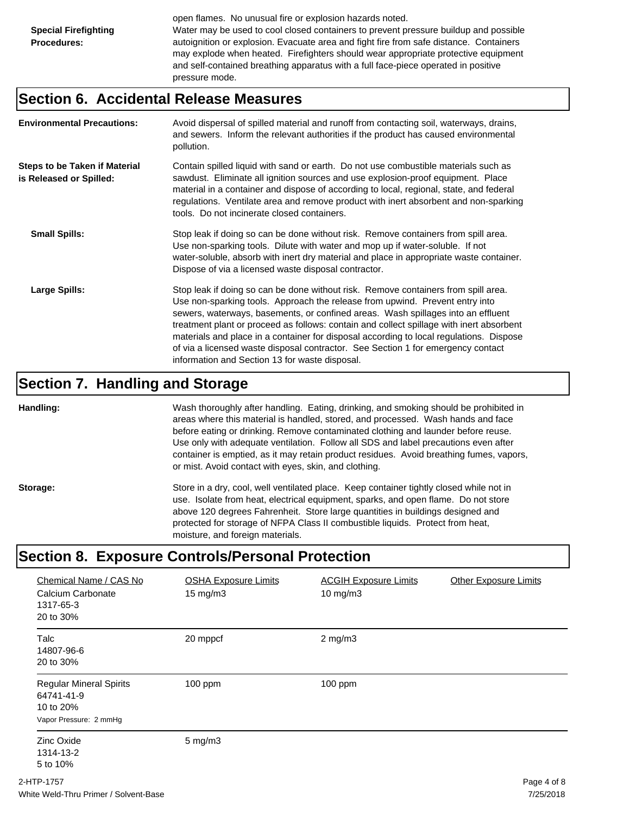open flames. No unusual fire or explosion hazards noted. Water may be used to cool closed containers to prevent pressure buildup and possible autoignition or explosion. Evacuate area and fight fire from safe distance. Containers may explode when heated. Firefighters should wear appropriate protective equipment and self-contained breathing apparatus with a full face-piece operated in positive pressure mode.

#### **Section 6. Accidental Release Measures**

| <b>Environmental Precautions:</b>                               | Avoid dispersal of spilled material and runoff from contacting soil, waterways, drains,<br>and sewers. Inform the relevant authorities if the product has caused environmental<br>pollution.                                                                                                                                                                                                                                                                                                                                                                                        |
|-----------------------------------------------------------------|-------------------------------------------------------------------------------------------------------------------------------------------------------------------------------------------------------------------------------------------------------------------------------------------------------------------------------------------------------------------------------------------------------------------------------------------------------------------------------------------------------------------------------------------------------------------------------------|
| <b>Steps to be Taken if Material</b><br>is Released or Spilled: | Contain spilled liquid with sand or earth. Do not use combustible materials such as<br>sawdust. Eliminate all ignition sources and use explosion-proof equipment. Place<br>material in a container and dispose of according to local, regional, state, and federal<br>regulations. Ventilate area and remove product with inert absorbent and non-sparking<br>tools. Do not incinerate closed containers.                                                                                                                                                                           |
| <b>Small Spills:</b>                                            | Stop leak if doing so can be done without risk. Remove containers from spill area.<br>Use non-sparking tools. Dilute with water and mop up if water-soluble. If not<br>water-soluble, absorb with inert dry material and place in appropriate waste container.<br>Dispose of via a licensed waste disposal contractor.                                                                                                                                                                                                                                                              |
| Large Spills:                                                   | Stop leak if doing so can be done without risk. Remove containers from spill area.<br>Use non-sparking tools. Approach the release from upwind. Prevent entry into<br>sewers, waterways, basements, or confined areas. Wash spillages into an effluent<br>treatment plant or proceed as follows: contain and collect spillage with inert absorbent<br>materials and place in a container for disposal according to local regulations. Dispose<br>of via a licensed waste disposal contractor. See Section 1 for emergency contact<br>information and Section 13 for waste disposal. |

#### **Section 7. Handling and Storage**

**Handling:** Wash thoroughly after handling. Eating, drinking, and smoking should be prohibited in areas where this material is handled, stored, and processed. Wash hands and face before eating or drinking. Remove contaminated clothing and launder before reuse. Use only with adequate ventilation. Follow all SDS and label precautions even after container is emptied, as it may retain product residues. Avoid breathing fumes, vapors, or mist. Avoid contact with eyes, skin, and clothing.

Storage: Store in a dry, cool, well ventilated place. Keep container tightly closed while not in use. Isolate from heat, electrical equipment, sparks, and open flame. Do not store above 120 degrees Fahrenheit. Store large quantities in buildings designed and protected for storage of NFPA Class II combustible liquids. Protect from heat, moisture, and foreign materials.

#### **Section 8. Exposure Controls/Personal Protection**

| Chemical Name / CAS No<br>Calcium Carbonate<br>1317-65-3<br>20 to 30%               | <b>OSHA Exposure Limits</b><br>$15 \text{ mg/m}$ | <b>ACGIH Exposure Limits</b><br>$10$ mg/m $3$ | <b>Other Exposure Limits</b> |
|-------------------------------------------------------------------------------------|--------------------------------------------------|-----------------------------------------------|------------------------------|
| <b>Talc</b><br>14807-96-6<br>20 to 30%                                              | 20 mppcf                                         | $2$ mg/m $3$                                  |                              |
| <b>Regular Mineral Spirits</b><br>64741-41-9<br>10 to 20%<br>Vapor Pressure: 2 mmHg | $100$ ppm                                        | 100 ppm                                       |                              |
| Zinc Oxide<br>1314-13-2<br>5 to 10%                                                 | $5 \text{ mg/m}$                                 |                                               |                              |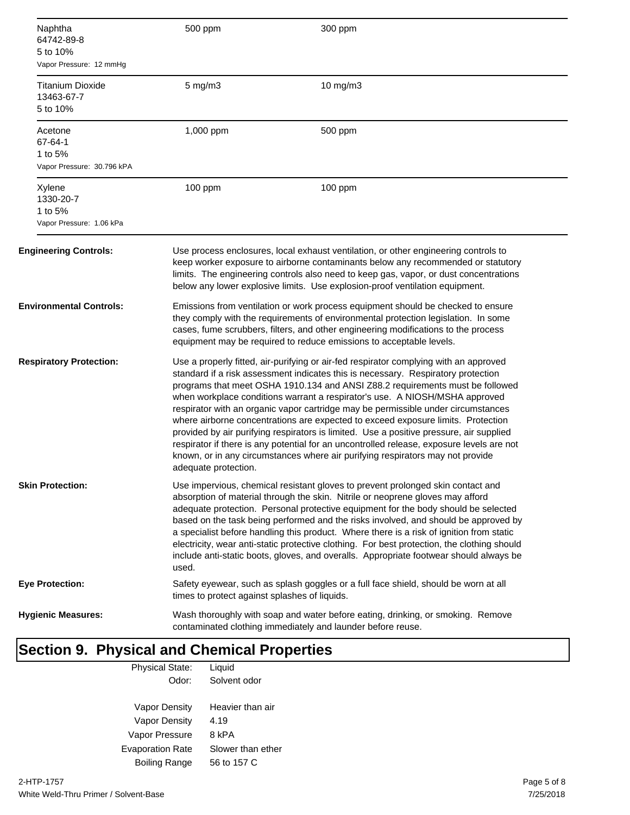| Naphtha<br>64742-89-8<br>5 to 10%<br>Vapor Pressure: 12 mmHg | 500 ppm                                                                                                                                                                                                                                                                                                                                                                                                                                                                                                                                                                                                                                                                                                                                                                                                               | 300 ppm                                                                             |
|--------------------------------------------------------------|-----------------------------------------------------------------------------------------------------------------------------------------------------------------------------------------------------------------------------------------------------------------------------------------------------------------------------------------------------------------------------------------------------------------------------------------------------------------------------------------------------------------------------------------------------------------------------------------------------------------------------------------------------------------------------------------------------------------------------------------------------------------------------------------------------------------------|-------------------------------------------------------------------------------------|
| <b>Titanium Dioxide</b><br>13463-67-7<br>5 to 10%            | 5 mg/m3                                                                                                                                                                                                                                                                                                                                                                                                                                                                                                                                                                                                                                                                                                                                                                                                               | 10 mg/m3                                                                            |
| Acetone<br>67-64-1<br>1 to 5%<br>Vapor Pressure: 30.796 kPA  | 1,000 ppm                                                                                                                                                                                                                                                                                                                                                                                                                                                                                                                                                                                                                                                                                                                                                                                                             | 500 ppm                                                                             |
| Xylene<br>1330-20-7<br>1 to 5%<br>Vapor Pressure: 1.06 kPa   | 100 ppm                                                                                                                                                                                                                                                                                                                                                                                                                                                                                                                                                                                                                                                                                                                                                                                                               | 100 ppm                                                                             |
| <b>Engineering Controls:</b>                                 | Use process enclosures, local exhaust ventilation, or other engineering controls to<br>keep worker exposure to airborne contaminants below any recommended or statutory<br>limits. The engineering controls also need to keep gas, vapor, or dust concentrations<br>below any lower explosive limits. Use explosion-proof ventilation equipment.                                                                                                                                                                                                                                                                                                                                                                                                                                                                      |                                                                                     |
| <b>Environmental Controls:</b>                               | Emissions from ventilation or work process equipment should be checked to ensure<br>they comply with the requirements of environmental protection legislation. In some<br>cases, fume scrubbers, filters, and other engineering modifications to the process<br>equipment may be required to reduce emissions to acceptable levels.                                                                                                                                                                                                                                                                                                                                                                                                                                                                                   |                                                                                     |
| <b>Respiratory Protection:</b>                               | Use a properly fitted, air-purifying or air-fed respirator complying with an approved<br>standard if a risk assessment indicates this is necessary. Respiratory protection<br>programs that meet OSHA 1910.134 and ANSI Z88.2 requirements must be followed<br>when workplace conditions warrant a respirator's use. A NIOSH/MSHA approved<br>respirator with an organic vapor cartridge may be permissible under circumstances<br>where airborne concentrations are expected to exceed exposure limits. Protection<br>provided by air purifying respirators is limited. Use a positive pressure, air supplied<br>respirator if there is any potential for an uncontrolled release, exposure levels are not<br>known, or in any circumstances where air purifying respirators may not provide<br>adequate protection. |                                                                                     |
| <b>Skin Protection:</b>                                      | Use impervious, chemical resistant gloves to prevent prolonged skin contact and<br>absorption of material through the skin. Nitrile or neoprene gloves may afford<br>adequate protection. Personal protective equipment for the body should be selected<br>based on the task being performed and the risks involved, and should be approved by<br>a specialist before handling this product. Where there is a risk of ignition from static<br>electricity, wear anti-static protective clothing. For best protection, the clothing should<br>include anti-static boots, gloves, and overalls. Appropriate footwear should always be<br>used.                                                                                                                                                                          |                                                                                     |
| Eye Protection:                                              | times to protect against splashes of liquids.                                                                                                                                                                                                                                                                                                                                                                                                                                                                                                                                                                                                                                                                                                                                                                         | Safety eyewear, such as splash goggles or a full face shield, should be worn at all |
| <b>Hygienic Measures:</b>                                    | Wash thoroughly with soap and water before eating, drinking, or smoking. Remove<br>contaminated clothing immediately and launder before reuse.                                                                                                                                                                                                                                                                                                                                                                                                                                                                                                                                                                                                                                                                        |                                                                                     |

#### **Section 9. Physical and Chemical Properties** Physical State: Liquid

| Odor:                   | Solvent odor      |
|-------------------------|-------------------|
| Vapor Density           | Heavier than air  |
| Vapor Density           | 4.19              |
| Vapor Pressure          | 8 kPA             |
| <b>Evaporation Rate</b> | Slower than ether |
| <b>Boiling Range</b>    | 56 to 157 C       |
|                         |                   |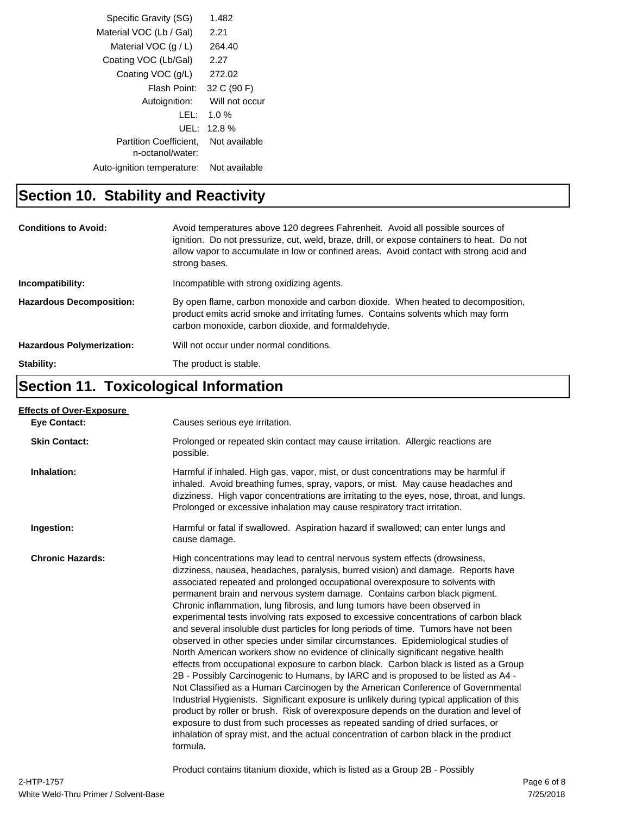| Specific Gravity (SG)         | 1.482          |  |
|-------------------------------|----------------|--|
| Material VOC (Lb / Gal)       | 2.21           |  |
| Material VOC $(q/L)$          | 264.40         |  |
| Coating VOC (Lb/Gal)          | 2.27           |  |
| Coating VOC (g/L)             | 272.02         |  |
| Flash Point:                  | 32 C (90 F)    |  |
| Autoignition:                 | Will not occur |  |
| LEL:                          | 1.0 $%$        |  |
| UEL:                          | 12.8%          |  |
| <b>Partition Coefficient.</b> | Not available  |  |
| n-octanol/water:              |                |  |
| Auto-ignition temperature:    | Not available  |  |

## **Section 10. Stability and Reactivity**

| <b>Conditions to Avoid:</b>      | Avoid temperatures above 120 degrees Fahrenheit. Avoid all possible sources of<br>ignition. Do not pressurize, cut, weld, braze, drill, or expose containers to heat. Do not<br>allow vapor to accumulate in low or confined areas. Avoid contact with strong acid and<br>strong bases. |
|----------------------------------|-----------------------------------------------------------------------------------------------------------------------------------------------------------------------------------------------------------------------------------------------------------------------------------------|
| Incompatibility:                 | Incompatible with strong oxidizing agents.                                                                                                                                                                                                                                              |
| <b>Hazardous Decomposition:</b>  | By open flame, carbon monoxide and carbon dioxide. When heated to decomposition,<br>product emits acrid smoke and irritating fumes. Contains solvents which may form<br>carbon monoxide, carbon dioxide, and formaldehyde.                                                              |
| <b>Hazardous Polymerization:</b> | Will not occur under normal conditions.                                                                                                                                                                                                                                                 |
| Stability:                       | The product is stable.                                                                                                                                                                                                                                                                  |

## **Section 11. Toxicological Information**

| <b>Effects of Over-Exposure</b> |                                                                                                                                                                                                                                                                                                                                                                                                                                                                                                                                                                                                                                                                                                                                                                                                                                                                                                                                                                                                                                                                                                                                                                                                                                                                                                                                                                                                                      |
|---------------------------------|----------------------------------------------------------------------------------------------------------------------------------------------------------------------------------------------------------------------------------------------------------------------------------------------------------------------------------------------------------------------------------------------------------------------------------------------------------------------------------------------------------------------------------------------------------------------------------------------------------------------------------------------------------------------------------------------------------------------------------------------------------------------------------------------------------------------------------------------------------------------------------------------------------------------------------------------------------------------------------------------------------------------------------------------------------------------------------------------------------------------------------------------------------------------------------------------------------------------------------------------------------------------------------------------------------------------------------------------------------------------------------------------------------------------|
| <b>Eye Contact:</b>             | Causes serious eye irritation.                                                                                                                                                                                                                                                                                                                                                                                                                                                                                                                                                                                                                                                                                                                                                                                                                                                                                                                                                                                                                                                                                                                                                                                                                                                                                                                                                                                       |
| <b>Skin Contact:</b>            | Prolonged or repeated skin contact may cause irritation. Allergic reactions are<br>possible.                                                                                                                                                                                                                                                                                                                                                                                                                                                                                                                                                                                                                                                                                                                                                                                                                                                                                                                                                                                                                                                                                                                                                                                                                                                                                                                         |
| Inhalation:                     | Harmful if inhaled. High gas, vapor, mist, or dust concentrations may be harmful if<br>inhaled. Avoid breathing fumes, spray, vapors, or mist. May cause headaches and<br>dizziness. High vapor concentrations are irritating to the eyes, nose, throat, and lungs.<br>Prolonged or excessive inhalation may cause respiratory tract irritation.                                                                                                                                                                                                                                                                                                                                                                                                                                                                                                                                                                                                                                                                                                                                                                                                                                                                                                                                                                                                                                                                     |
| Ingestion:                      | Harmful or fatal if swallowed. Aspiration hazard if swallowed; can enter lungs and<br>cause damage.                                                                                                                                                                                                                                                                                                                                                                                                                                                                                                                                                                                                                                                                                                                                                                                                                                                                                                                                                                                                                                                                                                                                                                                                                                                                                                                  |
| <b>Chronic Hazards:</b>         | High concentrations may lead to central nervous system effects (drowsiness,<br>dizziness, nausea, headaches, paralysis, burred vision) and damage. Reports have<br>associated repeated and prolonged occupational overexposure to solvents with<br>permanent brain and nervous system damage. Contains carbon black pigment.<br>Chronic inflammation, lung fibrosis, and lung tumors have been observed in<br>experimental tests involving rats exposed to excessive concentrations of carbon black<br>and several insoluble dust particles for long periods of time. Tumors have not been<br>observed in other species under similar circumstances. Epidemiological studies of<br>North American workers show no evidence of clinically significant negative health<br>effects from occupational exposure to carbon black. Carbon black is listed as a Group<br>2B - Possibly Carcinogenic to Humans, by IARC and is proposed to be listed as A4 -<br>Not Classified as a Human Carcinogen by the American Conference of Governmental<br>Industrial Hygienists. Significant exposure is unlikely during typical application of this<br>product by roller or brush. Risk of overexposure depends on the duration and level of<br>exposure to dust from such processes as repeated sanding of dried surfaces, or<br>inhalation of spray mist, and the actual concentration of carbon black in the product<br>formula. |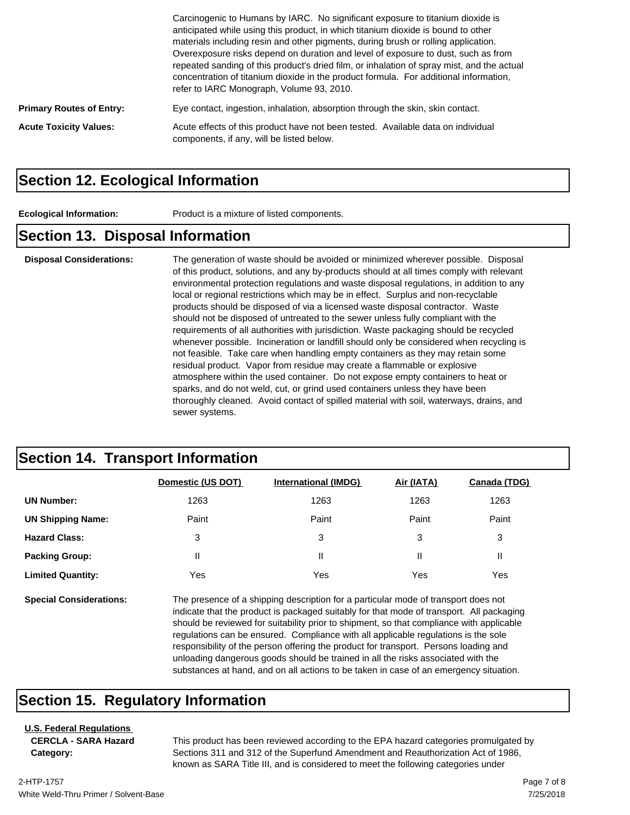|                                 | Carcinogenic to Humans by IARC. No significant exposure to titanium dioxide is<br>anticipated while using this product, in which titanium dioxide is bound to other<br>materials including resin and other pigments, during brush or rolling application.<br>Overexposure risks depend on duration and level of exposure to dust, such as from<br>repeated sanding of this product's dried film, or inhalation of spray mist, and the actual<br>concentration of titanium dioxide in the product formula. For additional information,<br>refer to IARC Monograph, Volume 93, 2010. |
|---------------------------------|------------------------------------------------------------------------------------------------------------------------------------------------------------------------------------------------------------------------------------------------------------------------------------------------------------------------------------------------------------------------------------------------------------------------------------------------------------------------------------------------------------------------------------------------------------------------------------|
| <b>Primary Routes of Entry:</b> | Eye contact, ingestion, inhalation, absorption through the skin, skin contact.                                                                                                                                                                                                                                                                                                                                                                                                                                                                                                     |
| <b>Acute Toxicity Values:</b>   | Acute effects of this product have not been tested. Available data on individual<br>components, if any, will be listed below.                                                                                                                                                                                                                                                                                                                                                                                                                                                      |

#### **Section 12. Ecological Information**

**Ecological Information:** Product is a mixture of listed components.

#### **Section 13. Disposal Information**

**Disposal Considerations:** The generation of waste should be avoided or minimized wherever possible. Disposal of this product, solutions, and any by-products should at all times comply with relevant environmental protection regulations and waste disposal regulations, in addition to any local or regional restrictions which may be in effect. Surplus and non-recyclable products should be disposed of via a licensed waste disposal contractor. Waste should not be disposed of untreated to the sewer unless fully compliant with the requirements of all authorities with jurisdiction. Waste packaging should be recycled whenever possible. Incineration or landfill should only be considered when recycling is not feasible. Take care when handling empty containers as they may retain some residual product. Vapor from residue may create a flammable or explosive atmosphere within the used container. Do not expose empty containers to heat or sparks, and do not weld, cut, or grind used containers unless they have been thoroughly cleaned. Avoid contact of spilled material with soil, waterways, drains, and sewer systems.

#### **Section 14. Transport Information**

|                                | Domestic (US DOT) | <b>International (IMDG)</b>                                                                                                                                                                                                                                                                                                                                                                                                                                 | Air (IATA) | Canada (TDG) |
|--------------------------------|-------------------|-------------------------------------------------------------------------------------------------------------------------------------------------------------------------------------------------------------------------------------------------------------------------------------------------------------------------------------------------------------------------------------------------------------------------------------------------------------|------------|--------------|
| <b>UN Number:</b>              | 1263              | 1263                                                                                                                                                                                                                                                                                                                                                                                                                                                        | 1263       | 1263         |
| <b>UN Shipping Name:</b>       | Paint             | Paint                                                                                                                                                                                                                                                                                                                                                                                                                                                       | Paint      | Paint        |
| <b>Hazard Class:</b>           | 3                 | 3                                                                                                                                                                                                                                                                                                                                                                                                                                                           | 3          | 3            |
| <b>Packing Group:</b>          | Ш                 | Ш                                                                                                                                                                                                                                                                                                                                                                                                                                                           | Ш          | Ш            |
| <b>Limited Quantity:</b>       | Yes               | Yes                                                                                                                                                                                                                                                                                                                                                                                                                                                         | Yes        | Yes          |
| <b>Special Considerations:</b> |                   | The presence of a shipping description for a particular mode of transport does not<br>indicate that the product is packaged suitably for that mode of transport. All packaging<br>should be reviewed for suitability prior to shipment, so that compliance with applicable<br>requilations can be ensured. Compliance with all applicable requilations is the sole<br>recononcipility of the person offering the product for transport. Persons loading and |            |              |

responsibility of the person offering the product for transport. Persons loading and unloading dangerous goods should be trained in all the risks associated with the substances at hand, and on all actions to be taken in case of an emergency situation.

#### **Section 15. Regulatory Information**

#### **U.S. Federal Regulations**

**CERCLA - SARA Hazard Category:**

This product has been reviewed according to the EPA hazard categories promulgated by Sections 311 and 312 of the Superfund Amendment and Reauthorization Act of 1986, known as SARA Title III, and is considered to meet the following categories under